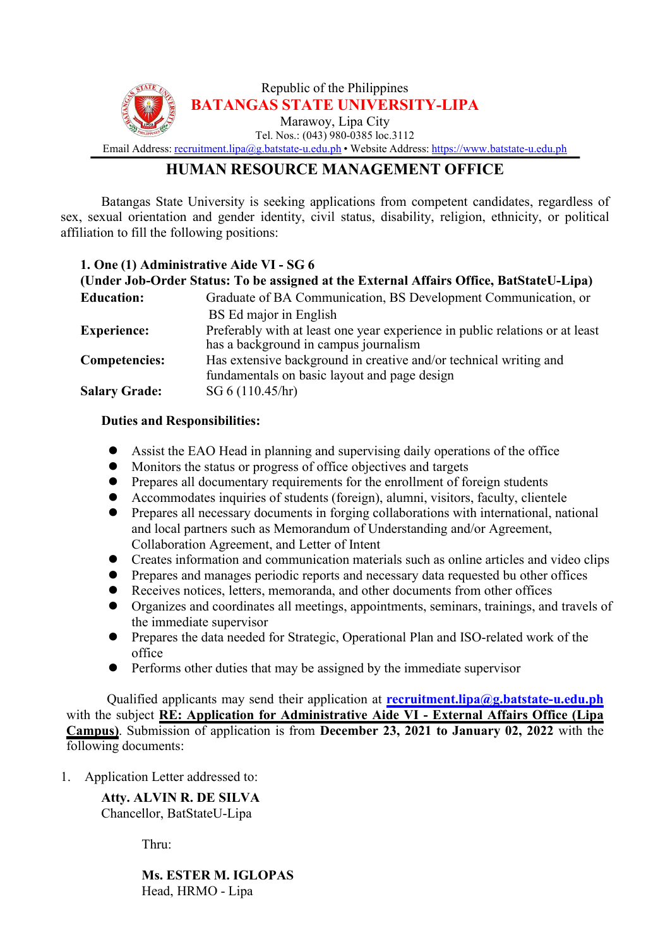

## **HUMAN RESOURCE MANAGEMENT OFFICE**

Batangas State University is seeking applications from competent candidates, regardless of sex, sexual orientation and gender identity, civil status, disability, religion, ethnicity, or political affiliation to fill the following positions:

## **1. One (1) Administrative Aide VI - SG 6**

| (Under Job-Order Status: To be assigned at the External Affairs Office, BatStateU-Lipa) |
|-----------------------------------------------------------------------------------------|
| Graduate of BA Communication, BS Development Communication, or                          |
| BS Ed major in English                                                                  |
| Preferably with at least one year experience in public relations or at least            |
| has a background in campus journalism                                                   |
| Has extensive background in creative and/or technical writing and                       |
| fundamentals on basic layout and page design                                            |
| SG 6 (110.45/hr)                                                                        |
|                                                                                         |

## **Duties and Responsibilities:**

- Assist the EAO Head in planning and supervising daily operations of the office
- Monitors the status or progress of office objectives and targets
- Prepares all documentary requirements for the enrollment of foreign students
- $\bullet$  Accommodates inquiries of students (foreign), alumni, visitors, faculty, clientele
- Prepares all necessary documents in forging collaborations with international, national and local partners such as Memorandum of Understanding and/or Agreement, Collaboration Agreement, and Letter of Intent
- Creates information and communication materials such as online articles and video clips
- Prepares and manages periodic reports and necessary data requested bu other offices
- Receives notices, letters, memoranda, and other documents from other offices
- Organizes and coordinates all meetings, appointments, seminars, trainings, and travels of the immediate supervisor
- Prepares the data needed for Strategic, Operational Plan and ISO-related work of the office
- Performs other duties that may be assigned by the immediate supervisor

Qualified applicants may send their application at **[recruitment.lipa@g.batstate-u.edu.ph](mailto:recruitment.lipa@g.batstate-u.edu.ph)** with the subject**RE: Application for Administrative Aide VI -External Affairs Office (Lipa Campus)**. Submission of application is from **December 23, 2021 to January 02, 2022** with the following documents:

1. Application Letter addressed to:

**Atty. ALVIN R. DE SILVA** Chancellor, BatStateU-Lipa

Thru:

**Ms. ESTER M. IGLOPAS** Head, HRMO - Lipa